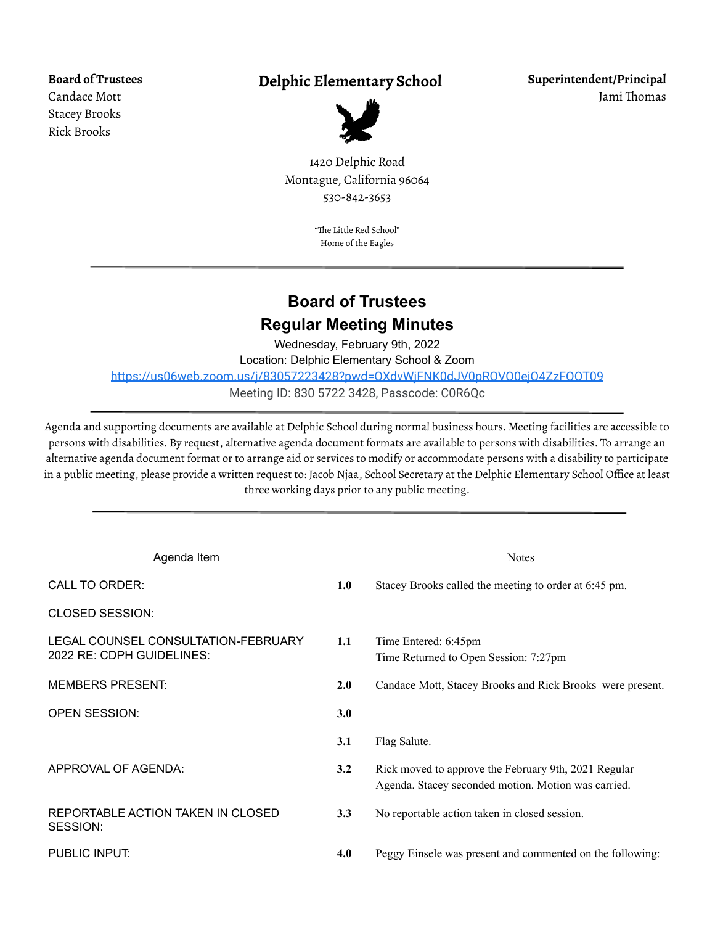**Board of Trustees** Candace Mott Stacey Brooks Rick Brooks

## **Delphic Elementary School**



**Superintendent/Principal** Jami Thomas

1420 Delphic Road Montague, California 96064 530-842-3653

> "The Little Red School" Home of the Eagles

## **Board of Trustees Regular Meeting Minutes**

Wednesday, February 9th, 2022 Location: Delphic Elementary School & Zoom <https://us06web.zoom.us/j/83057223428?pwd=OXdvWjFNK0dJV0pRQVQ0ejQ4ZzFQQT09> Meeting ID: 830 5722 3428, Passcode: C0R6Qc

Agenda and supporting documents are available at Delphic School during normal business hours. Meeting facilities are accessible to persons with disabilities. By request, alternative agenda document formats are available to persons with disabilities. To arrange an alternative agenda document format or to arrange aid or services to modify or accommodate persons with a disability to participate in a public meeting, please provide a written request to: Jacob Njaa, School Secretary at the Delphic Elementary School Office at least three working days prior to any public meeting.

| Agenda Item                                                      |     | <b>Notes</b>                                                                                                |
|------------------------------------------------------------------|-----|-------------------------------------------------------------------------------------------------------------|
| <b>CALL TO ORDER:</b>                                            | 1.0 | Stacey Brooks called the meeting to order at 6:45 pm.                                                       |
| <b>CLOSED SESSION:</b>                                           |     |                                                                                                             |
| LEGAL COUNSEL CONSULTATION-FEBRUARY<br>2022 RE: CDPH GUIDELINES: | 1.1 | Time Entered: 6:45pm<br>Time Returned to Open Session: 7:27pm                                               |
| <b>MEMBERS PRESENT:</b>                                          | 2.0 | Candace Mott, Stacey Brooks and Rick Brooks were present.                                                   |
| <b>OPEN SESSION:</b>                                             | 3.0 |                                                                                                             |
|                                                                  | 3.1 | Flag Salute.                                                                                                |
| APPROVAL OF AGENDA:                                              | 3.2 | Rick moved to approve the February 9th, 2021 Regular<br>Agenda. Stacey seconded motion. Motion was carried. |
| REPORTABLE ACTION TAKEN IN CLOSED<br>SESSION:                    | 3.3 | No reportable action taken in closed session.                                                               |
| PUBLIC INPUT:                                                    | 4.0 | Peggy Einsele was present and commented on the following:                                                   |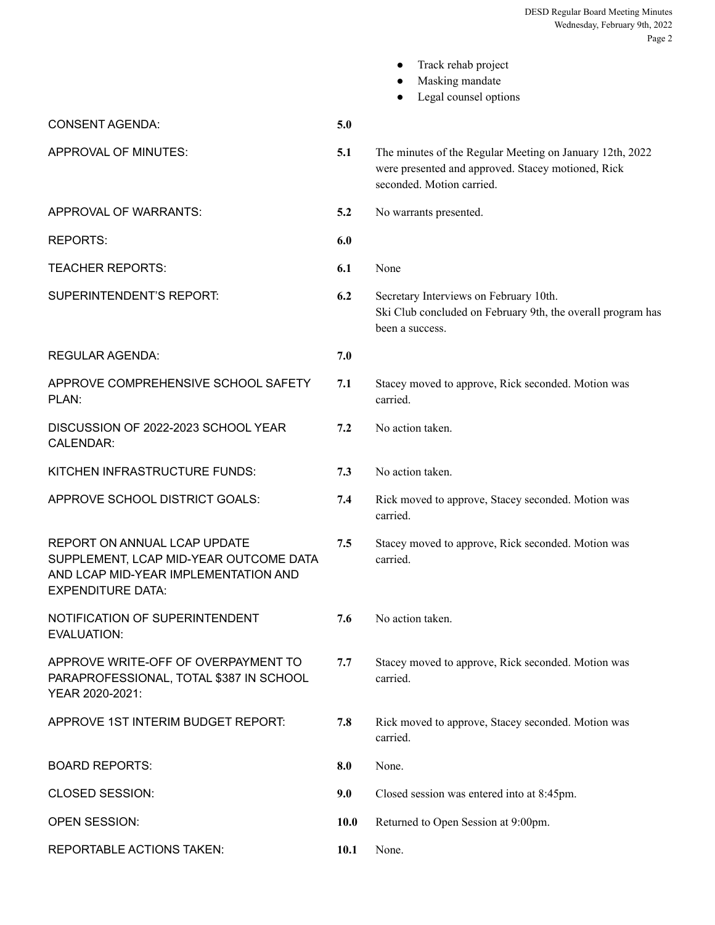|                                                                                                                                            |      | Track rehab project<br>Masking mandate<br>Legal counsel options                                                                             |
|--------------------------------------------------------------------------------------------------------------------------------------------|------|---------------------------------------------------------------------------------------------------------------------------------------------|
| <b>CONSENT AGENDA:</b>                                                                                                                     | 5.0  |                                                                                                                                             |
| APPROVAL OF MINUTES:                                                                                                                       | 5.1  | The minutes of the Regular Meeting on January 12th, 2022<br>were presented and approved. Stacey motioned, Rick<br>seconded. Motion carried. |
| <b>APPROVAL OF WARRANTS:</b>                                                                                                               | 5.2  | No warrants presented.                                                                                                                      |
| <b>REPORTS:</b>                                                                                                                            | 6.0  |                                                                                                                                             |
| <b>TEACHER REPORTS:</b>                                                                                                                    | 6.1  | None                                                                                                                                        |
| SUPERINTENDENT'S REPORT:                                                                                                                   | 6.2  | Secretary Interviews on February 10th.<br>Ski Club concluded on February 9th, the overall program has<br>been a success.                    |
| <b>REGULAR AGENDA:</b>                                                                                                                     | 7.0  |                                                                                                                                             |
| APPROVE COMPREHENSIVE SCHOOL SAFETY<br>PLAN:                                                                                               | 7.1  | Stacey moved to approve, Rick seconded. Motion was<br>carried.                                                                              |
| DISCUSSION OF 2022-2023 SCHOOL YEAR<br><b>CALENDAR:</b>                                                                                    | 7.2  | No action taken.                                                                                                                            |
| KITCHEN INFRASTRUCTURE FUNDS:                                                                                                              | 7.3  | No action taken.                                                                                                                            |
| APPROVE SCHOOL DISTRICT GOALS:                                                                                                             | 7.4  | Rick moved to approve, Stacey seconded. Motion was<br>carried.                                                                              |
| REPORT ON ANNUAL LCAP UPDATE<br>SUPPLEMENT, LCAP MID-YEAR OUTCOME DATA<br>AND LCAP MID-YEAR IMPLEMENTATION AND<br><b>EXPENDITURE DATA:</b> | 7.5  | Stacey moved to approve, Rick seconded. Motion was<br>carried.                                                                              |
| NOTIFICATION OF SUPERINTENDENT<br><b>EVALUATION:</b>                                                                                       | 7.6  | No action taken.                                                                                                                            |
| APPROVE WRITE-OFF OF OVERPAYMENT TO<br>PARAPROFESSIONAL, TOTAL \$387 IN SCHOOL<br>YEAR 2020-2021:                                          | 7.7  | Stacey moved to approve, Rick seconded. Motion was<br>carried.                                                                              |
| APPROVE 1ST INTERIM BUDGET REPORT:                                                                                                         | 7.8  | Rick moved to approve, Stacey seconded. Motion was<br>carried.                                                                              |
| <b>BOARD REPORTS:</b>                                                                                                                      | 8.0  | None.                                                                                                                                       |
| CLOSED SESSION:                                                                                                                            | 9.0  | Closed session was entered into at 8:45pm.                                                                                                  |
| OPEN SESSION:                                                                                                                              | 10.0 | Returned to Open Session at 9:00pm.                                                                                                         |
| REPORTABLE ACTIONS TAKEN:                                                                                                                  | 10.1 | None.                                                                                                                                       |